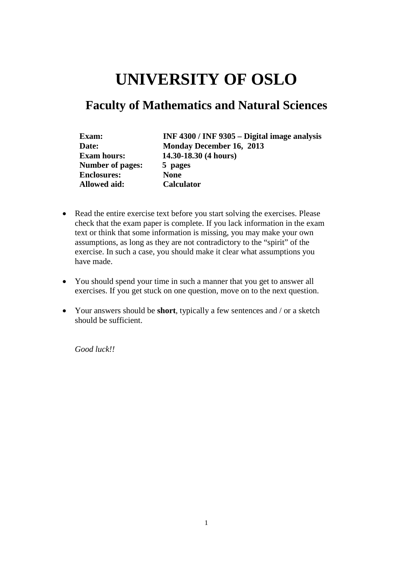# **UNIVERSITY OF OSLO**

# **Faculty of Mathematics and Natural Sciences**

| Exam:                   | INF 4300 / INF 9305 - Digital image analysis |
|-------------------------|----------------------------------------------|
| Date:                   | Monday December 16, 2013                     |
| <b>Exam hours:</b>      | 14.30-18.30 (4 hours)                        |
| <b>Number of pages:</b> | 5 pages                                      |
| <b>Enclosures:</b>      | <b>None</b>                                  |
| <b>Allowed aid:</b>     | <b>Calculator</b>                            |

- Read the entire exercise text before you start solving the exercises. Please check that the exam paper is complete. If you lack information in the exam text or think that some information is missing, you may make your own assumptions, as long as they are not contradictory to the "spirit" of the exercise. In such a case, you should make it clear what assumptions you have made.
- You should spend your time in such a manner that you get to answer all exercises. If you get stuck on one question, move on to the next question.
- Your answers should be **short**, typically a few sentences and / or a sketch should be sufficient.

*Good luck!!*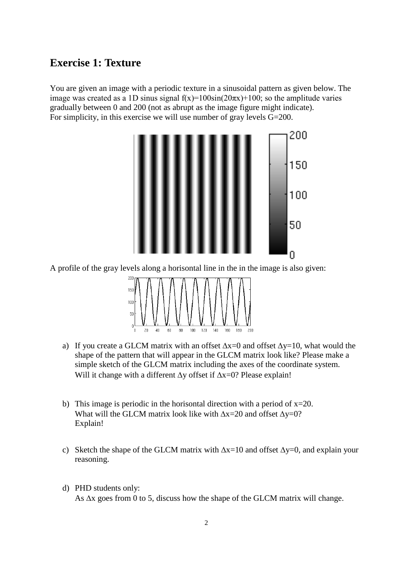#### **Exercise 1: Texture**

You are given an image with a periodic texture in a sinusoidal pattern as given below. The image was created as a 1D sinus signal  $f(x)=100\sin(20\pi x)+100$ ; so the amplitude varies gradually between 0 and 200 (not as abrupt as the image figure might indicate). For simplicity, in this exercise we will use number of gray levels G=200.



A profile of the gray levels along a horisontal line in the in the image is also given:



- a) If you create a GLCM matrix with an offset  $\Delta x=0$  and offset  $\Delta y=10$ , what would the shape of the pattern that will appear in the GLCM matrix look like? Please make a simple sketch of the GLCM matrix including the axes of the coordinate system. Will it change with a different ∆y offset if ∆x=0? Please explain!
- b) This image is periodic in the horisontal direction with a period of  $x=20$ . What will the GLCM matrix look like with  $\Delta x=20$  and offset  $\Delta y=0$ ? Explain!
- c) Sketch the shape of the GLCM matrix with  $\Delta x=10$  and offset  $\Delta y=0$ , and explain your reasoning.
- d) PHD students only: As ∆x goes from 0 to 5, discuss how the shape of the GLCM matrix will change.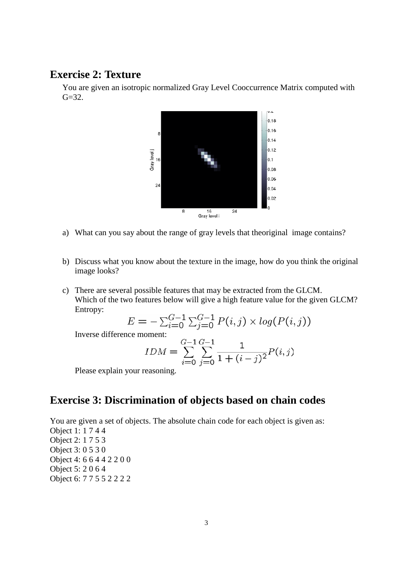#### **Exercise 2: Texture**

You are given an isotropic normalized Gray Level Cooccurrence Matrix computed with  $G = 32.$ 



- a) What can you say about the range of gray levels that theoriginal image contains?
- b) Discuss what you know about the texture in the image, how do you think the original image looks?
- c) There are several possible features that may be extracted from the GLCM. Which of the two features below will give a high feature value for the given GLCM? Entropy:

$$
E = -\sum_{i=0}^{G-1} \sum_{j=0}^{G-1} P(i,j) \times log(P(i,j))
$$

Inverse difference moment:

$$
IDM = \sum_{i=0}^{G-1} \sum_{j=0}^{G-1} \frac{1}{1 + (i-j)^2} P(i,j)
$$

Please explain your reasoning.

#### **Exercise 3: Discrimination of objects based on chain codes**

You are given a set of objects. The absolute chain code for each object is given as: Object 1: 1 7 4 4 Object 2: 1 7 5 3 Object 3: 0 5 3 0 Object 4: 6 6 4 4 2 2 0 0 Object 5: 2 0 6 4 Object 6: 7 7 5 5 2 2 2 2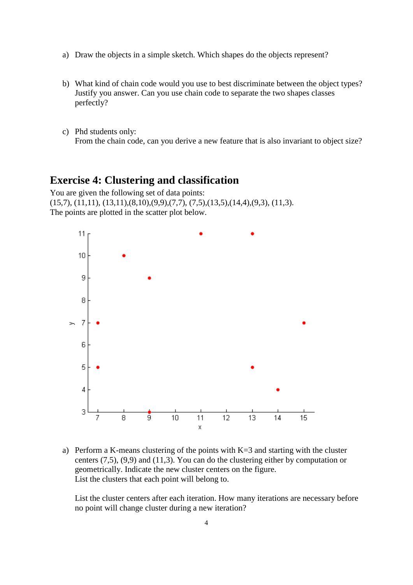- a) Draw the objects in a simple sketch. Which shapes do the objects represent?
- b) What kind of chain code would you use to best discriminate between the object types? Justify you answer. Can you use chain code to separate the two shapes classes perfectly?
- c) Phd students only: From the chain code, can you derive a new feature that is also invariant to object size?

#### **Exercise 4: Clustering and classification**

You are given the following set of data points:  $(15,7), (11,11), (13,11), (8,10), (9,9), (7,7), (7,5), (13,5), (14,4), (9,3), (11,3).$ The points are plotted in the scatter plot below.



a) Perform a K-means clustering of the points with K=3 and starting with the cluster centers (7,5), (9,9) and (11,3). You can do the clustering either by computation or geometrically. Indicate the new cluster centers on the figure. List the clusters that each point will belong to.

List the cluster centers after each iteration. How many iterations are necessary before no point will change cluster during a new iteration?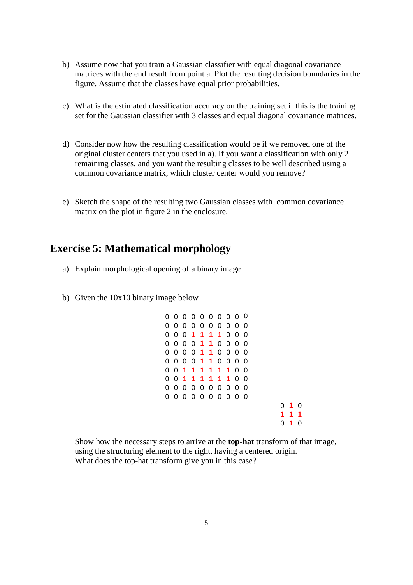- b) Assume now that you train a Gaussian classifier with equal diagonal covariance matrices with the end result from point a. Plot the resulting decision boundaries in the figure. Assume that the classes have equal prior probabilities.
- c) What is the estimated classification accuracy on the training set if this is the training set for the Gaussian classifier with 3 classes and equal diagonal covariance matrices.
- d) Consider now how the resulting classification would be if we removed one of the original cluster centers that you used in a). If you want a classification with only 2 remaining classes, and you want the resulting classes to be well described using a common covariance matrix, which cluster center would you remove?
- e) Sketch the shape of the resulting two Gaussian classes with common covariance matrix on the plot in figure 2 in the enclosure.

#### **Exercise 5: Mathematical morphology**

- a) Explain morphological opening of a binary image
- b) Given the 10x10 binary image below

|   | 0 O      |             |         | 00000000                 |      |  |                |     |   |    |   |
|---|----------|-------------|---------|--------------------------|------|--|----------------|-----|---|----|---|
|   |          |             |         | 000000000                |      |  |                | - 0 |   |    |   |
|   | 00       |             |         | 0 1 1 1 1 0 0            |      |  |                | - 0 |   |    |   |
|   |          |             |         | 0000 <b>11</b> 000       |      |  |                | - 0 |   |    |   |
|   | 00001    |             |         |                          | 1000 |  |                | - 0 |   |    |   |
|   |          |             |         | 0 0 0 0 <b>1 1</b> 0 0 0 |      |  |                | - 0 |   |    |   |
|   |          |             |         |                          |      |  | 0 <sub>0</sub> |     |   |    |   |
| 0 | $\Omega$ | $\mathbf 1$ |         | 11111                    |      |  | 0              | - 0 |   |    |   |
|   |          |             |         |                          |      |  |                |     |   |    |   |
| 0 | $\Omega$ |             | 0000000 |                          |      |  |                | - 0 |   |    |   |
|   |          |             |         | 0 0 0 0 0 0 0 0 0        |      |  |                | - 0 |   |    |   |
|   |          |             |         |                          |      |  |                |     | 0 | -1 | Ω |
|   |          |             |         |                          |      |  |                |     | 1 | 1  | 1 |
|   |          |             |         |                          |      |  |                |     |   |    | ი |

Show how the necessary steps to arrive at the **top-hat** transform of that image, using the structuring element to the right, having a centered origin. What does the top-hat transform give you in this case?